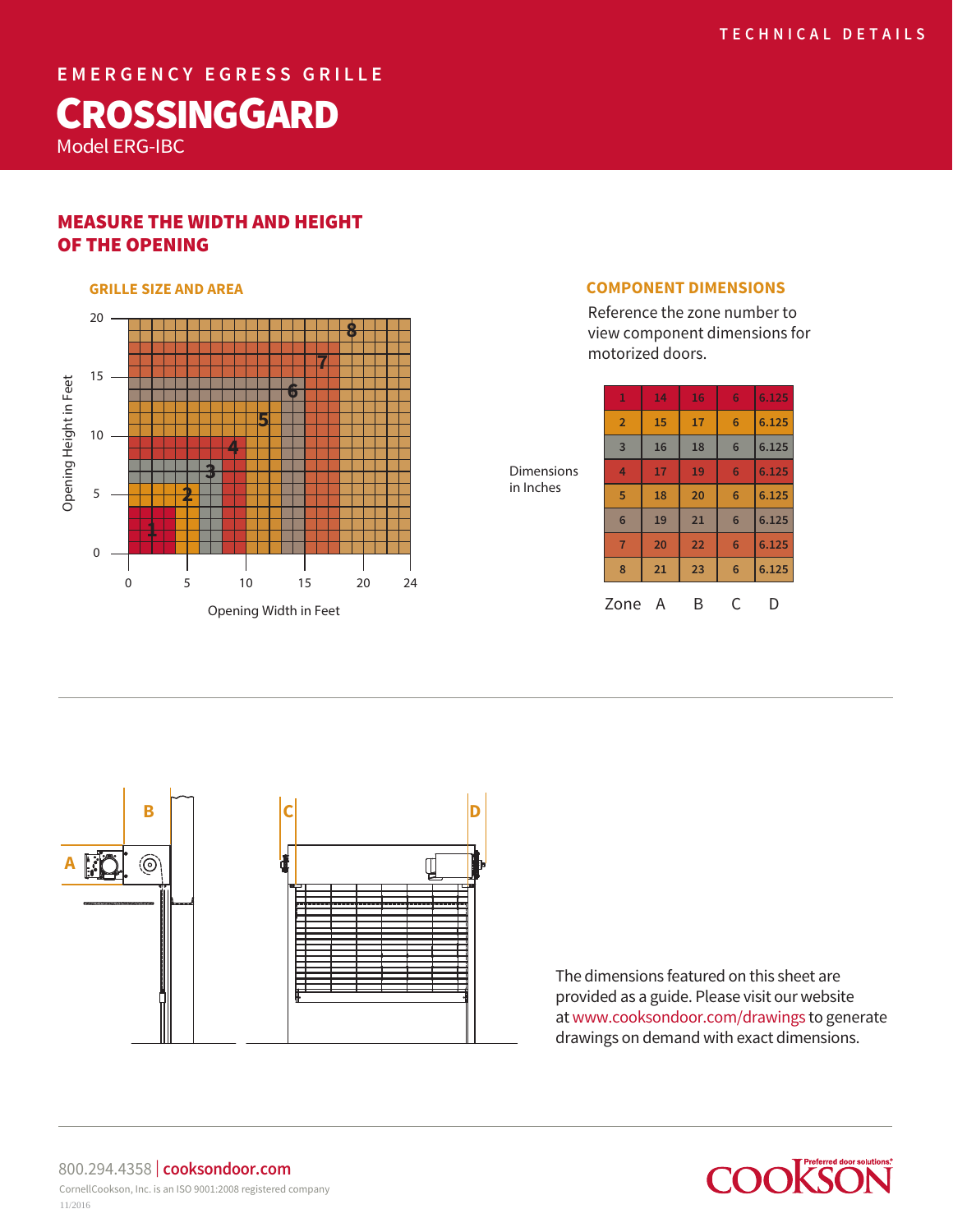**EMERGENCY EGRESS GRILLE**

# **CROSSINGGARD**

Model ERG-IBC

# MEASURE THE WIDTH AND HEIGHT OF THE OPENING



Reference the zone number to view component dimensions for motorized doors.

**1 14 16 6 6.125**

| <b>Dimensions</b><br>in Inches | $\overline{2}$  | 15 | 17 | 6               | 6.125 |
|--------------------------------|-----------------|----|----|-----------------|-------|
|                                | $\overline{3}$  | 16 | 18 | 6               | 6.125 |
|                                | 4               | 17 | 19 | 6               | 6.125 |
|                                | 5               | 18 | 20 | 6               | 6.125 |
|                                | $6\phantom{1}6$ | 19 | 21 | $6\phantom{1}6$ | 6.125 |
|                                | $\overline{7}$  | 20 | 22 | 6               | 6.125 |
|                                | 8               | 21 | 23 | $6\phantom{1}6$ | 6.125 |
|                                | Zone            | A  | В  |                 | I)    |



The dimensions featured on this sheet are provided as a guide. Please visit our website at www.cooksondoor.com/drawings to generate drawings on demand with exact dimensions.



800.294.4358 | **cooksondoor.com** CornellCookson, Inc. is an ISO 9001:2008 registered company 11/2016